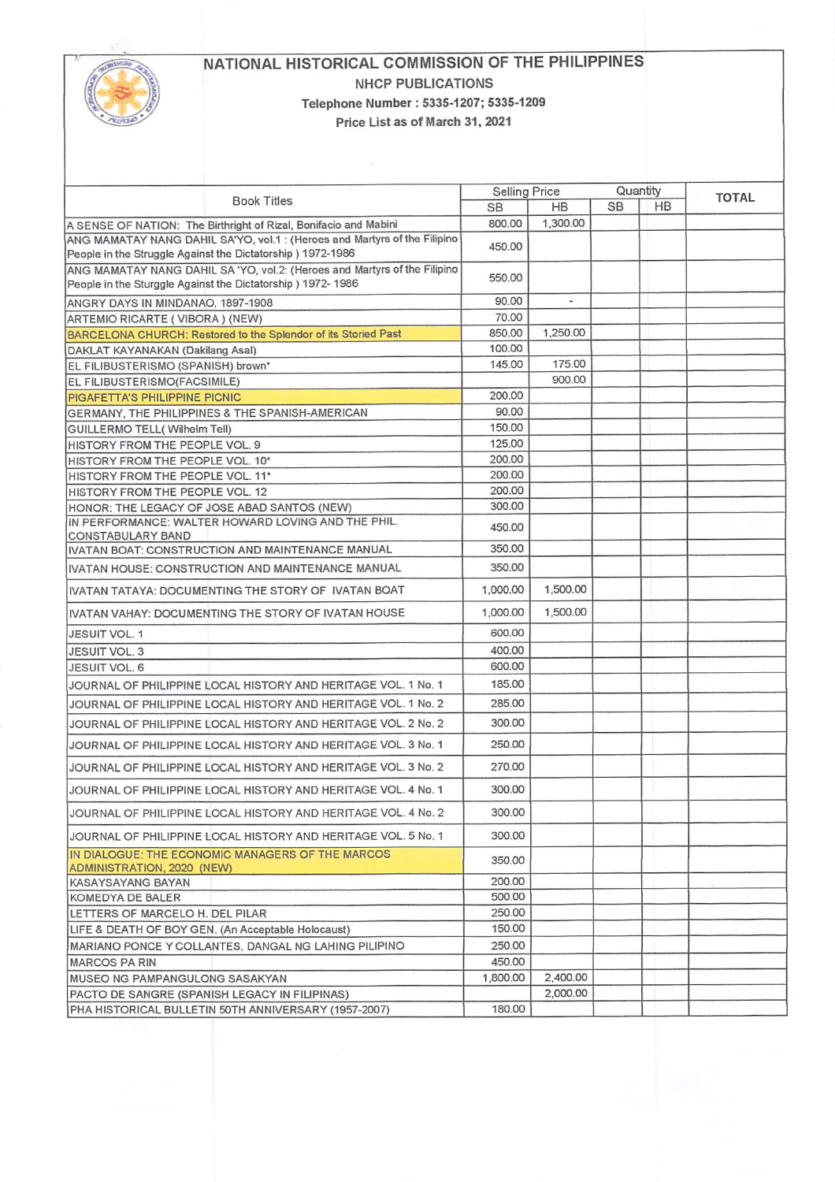

## NATIONAL HISTORICAL COMMISSION OF THE PHILIPPINES NHCP PUBLICATIONS Telephone Number: 5335-1207; 5335-1209 Price List as of March 31, 2021

 $\langle \hat{u} \rangle$ 

| <b>Book Titles</b>                                                                                                                       | <b>Selling Price</b> |           | Quantity  |    | <b>TOTAL</b> |
|------------------------------------------------------------------------------------------------------------------------------------------|----------------------|-----------|-----------|----|--------------|
|                                                                                                                                          | <b>SB</b>            | <b>HB</b> | <b>SB</b> | HB |              |
| A SENSE OF NATION: The Birthright of Rizal, Bonifacio and Mabini                                                                         | 800.00               | 1,300.00  |           |    |              |
| ANG MAMATAY NANG DAHIL SA'YO, vol.1 : (Heroes and Martyrs of the Filipino                                                                | 450.00               |           |           |    |              |
| People in the Struggle Against the Dictatorship ) 1972-1986                                                                              |                      |           |           |    |              |
| ANG MAMATAY NANG DAHIL SA 'YO, vol.2: (Heroes and Martyrs of the Filipino<br>People in the Sturggle Against the Dictatorship ) 1972-1986 | 550.00               |           |           |    |              |
| ANGRY DAYS IN MINDANAO, 1897-1908                                                                                                        | 90.00                | ۰         |           |    |              |
| ARTEMIO RICARTE (VIBORA) (NEW)                                                                                                           | 70.00                |           |           |    |              |
| BARCELONA CHURCH: Restored to the Splendor of its Storied Past                                                                           | 850.00               | 1,250.00  |           |    |              |
| DAKLAT KAYANAKAN (Dakilang Asal)                                                                                                         | 100.00               |           |           |    |              |
| EL FILIBUSTERISMO (SPANISH) brown*                                                                                                       | 145.00               | 175.00    |           |    |              |
| EL FILIBUSTERISMO(FACSIMILE)                                                                                                             |                      | 900.00    |           |    |              |
| <b>PIGAFETTA'S PHILIPPINE PICNIC</b>                                                                                                     | 200.00               |           |           |    |              |
| GERMANY, THE PHILIPPINES & THE SPANISH-AMERICAN                                                                                          | 90.00                |           |           |    |              |
| GUILLERMO TELL( Wilhelm Tell)                                                                                                            | 150.00               |           |           |    |              |
| HISTORY FROM THE PEOPLE VOL. 9                                                                                                           | 125.00               |           |           |    |              |
| HISTORY FROM THE PEOPLE VOL. 10*                                                                                                         | 200,00               |           |           |    |              |
| HISTORY FROM THE PEOPLE VOL. 11*                                                                                                         | 200.00               |           |           |    |              |
| HISTORY FROM THE PEOPLE VOL. 12                                                                                                          | 200.00               |           |           |    |              |
| HONOR: THE LEGACY OF JOSE ABAD SANTOS (NEW)                                                                                              | 300.00               |           |           |    |              |
| IN PERFORMANCE: WALTER HOWARD LOVING AND THE PHIL.                                                                                       | 450.00               |           |           |    |              |
| CONSTABULARY BAND<br>IVATAN BOAT: CONSTRUCTION AND MAINTENANCE MANUAL                                                                    | 350.00               |           |           |    |              |
|                                                                                                                                          |                      |           |           |    |              |
| IVATAN HOUSE: CONSTRUCTION AND MAINTENANCE MANUAL                                                                                        | 350.00               |           |           |    |              |
| IVATAN TATAYA: DOCUMENTING THE STORY OF IVATAN BOAT                                                                                      | 1,000.00             | 1,500.00  |           |    |              |
| IIVATAN VAHAY: DOCUMENTING THE STORY OF IVATAN HOUSE                                                                                     | 1,000.00             | 1,500.00  |           |    |              |
| JESUIT VOL. 1                                                                                                                            | 600.00               |           |           |    |              |
| JESUIT VOL. 3                                                                                                                            | 400.00               |           |           |    |              |
| <b>JESUIT VOL. 6</b>                                                                                                                     | 600.00               |           |           |    |              |
| JOURNAL OF PHILIPPINE LOCAL HISTORY AND HERITAGE VOL. 1 No. 1                                                                            | 185.00               |           |           |    |              |
| JOURNAL OF PHILIPPINE LOCAL HISTORY AND HERITAGE VOL. 1 No. 2                                                                            | 285.00               |           |           |    |              |
| JOURNAL OF PHILIPPINE LOCAL HISTORY AND HERITAGE VOL. 2 No. 2                                                                            | 300.00               |           |           |    |              |
| JOURNAL OF PHILIPPINE LOCAL HISTORY AND HERITAGE VOL. 3 No. 1                                                                            | 250.00               |           |           |    |              |
| JOURNAL OF PHILIPPINE LOCAL HISTORY AND HERITAGE VOL. 3 No. 2                                                                            | 270.00               |           |           |    |              |
| JOURNAL OF PHILIPPINE LOCAL HISTORY AND HERITAGE VOL. 4 No. 1                                                                            | 300.00               |           |           |    |              |
| JOURNAL OF PHILIPPINE LOCAL HISTORY AND HERITAGE VOL. 4 No. 2                                                                            | 300.00               |           |           |    |              |
| JOURNAL OF PHILIPPINE LOCAL HISTORY AND HERITAGE VOL. 5 No. 1                                                                            | 300.00               |           |           |    |              |
| IN DIALOGUE: THE ECONOMIC MANAGERS OF THE MARCOS<br>ADMINISTRATION, 2020 (NEW)                                                           | 350.00               |           |           |    |              |
| <b>KASAYSAYANG BAYAN</b>                                                                                                                 | 200.00               |           |           |    |              |
| KOMEDYA DE BALER                                                                                                                         | 500.00               |           |           |    |              |
| LETTERS OF MARCELO H. DEL PILAR                                                                                                          | 250.00               |           |           |    |              |
| LIFE & DEATH OF BOY GEN. (An Acceptable Holocaust)                                                                                       | 150.00               |           |           |    |              |
| MARIANO PONCE Y COLLANTES, DANGAL NG LAHING PILIPINO                                                                                     | 250.00               |           |           |    |              |
| <b>MARCOS PA RIN</b>                                                                                                                     | 450.00               |           |           |    |              |
| MUSEO NG PAMPANGULONG SASAKYAN                                                                                                           | 1,800.00             | 2,400.00  |           |    |              |
| PACTO DE SANGRE (SPANISH LEGACY IN FILIPINAS)                                                                                            |                      | 2,000.00  |           |    |              |
| PHA HISTORICAL BULLETIN 50TH ANNIVERSARY (1957-2007)                                                                                     | 180.00               |           |           |    |              |